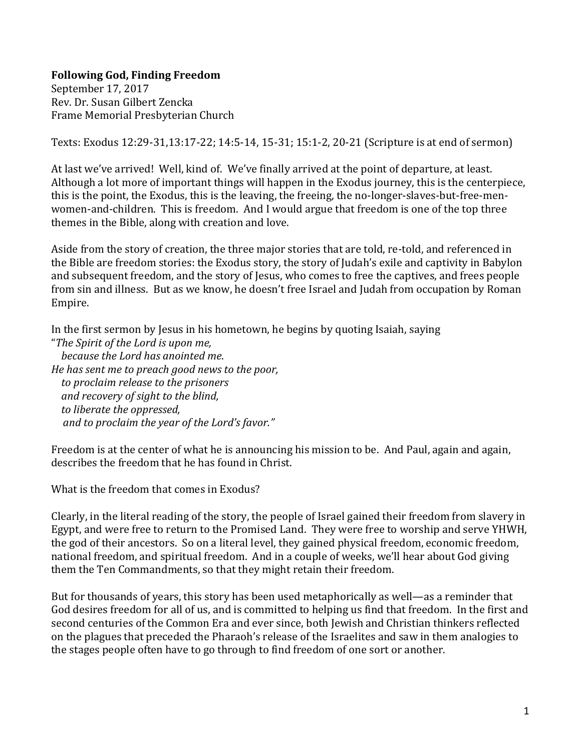**Following God, Finding Freedom**

September 17, 2017 Rev. Dr. Susan Gilbert Zencka Frame Memorial Presbyterian Church

Texts: Exodus 12:29-31,13:17-22; 14:5-14, 15-31; 15:1-2, 20-21 (Scripture is at end of sermon)

At last we've arrived! Well, kind of. We've finally arrived at the point of departure, at least. Although a lot more of important things will happen in the Exodus journey, this is the centerpiece, this is the point, the Exodus, this is the leaving, the freeing, the no-longer-slaves-but-free-menwomen-and-children. This is freedom. And I would argue that freedom is one of the top three themes in the Bible, along with creation and love.

Aside from the story of creation, the three major stories that are told, re-told, and referenced in the Bible are freedom stories: the Exodus story, the story of Judah's exile and captivity in Babylon and subsequent freedom, and the story of Jesus, who comes to free the captives, and frees people from sin and illness. But as we know, he doesn't free Israel and Judah from occupation by Roman Empire.

In the first sermon by Jesus in his hometown, he begins by quoting Isaiah, saying

"*The Spirit of the Lord is upon me, because the Lord has anointed me*. *He has sent me to preach good news to the poor, to proclaim release to the prisoners and recovery of sight to the blind, to liberate the oppressed, and to proclaim the year of the Lord's favor."*

Freedom is at the center of what he is announcing his mission to be. And Paul, again and again, describes the freedom that he has found in Christ.

What is the freedom that comes in Exodus?

Clearly, in the literal reading of the story, the people of Israel gained their freedom from slavery in Egypt, and were free to return to the Promised Land. They were free to worship and serve YHWH, the god of their ancestors. So on a literal level, they gained physical freedom, economic freedom, national freedom, and spiritual freedom. And in a couple of weeks, we'll hear about God giving them the Ten Commandments, so that they might retain their freedom.

But for thousands of years, this story has been used metaphorically as well—as a reminder that God desires freedom for all of us, and is committed to helping us find that freedom. In the first and second centuries of the Common Era and ever since, both Jewish and Christian thinkers reflected on the plagues that preceded the Pharaoh's release of the Israelites and saw in them analogies to the stages people often have to go through to find freedom of one sort or another.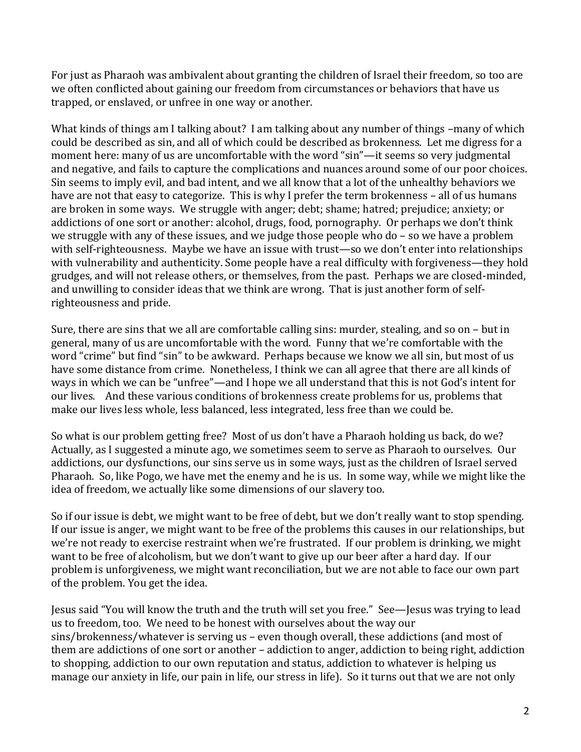For just as Pharaoh was ambivalent about granting the children of Israel their freedom, so too are we often conflicted about gaining our freedom from circumstances or behaviors that have us trapped, or enslaved, or unfree in one way or another.

What kinds of things am I talking about? I am talking about any number of things –many of which could be described as sin, and all of which could be described as brokenness. Let me digress for a moment here: many of us are uncomfortable with the word "sin"—it seems so very judgmental and negative, and fails to capture the complications and nuances around some of our poor choices. Sin seems to imply evil, and bad intent, and we all know that a lot of the unhealthy behaviors we have are not that easy to categorize. This is why I prefer the term brokenness – all of us humans are broken in some ways. We struggle with anger; debt; shame; hatred; prejudice; anxiety; or addictions of one sort or another: alcohol, drugs, food, pornography. Or perhaps we don't think we struggle with any of these issues, and we judge those people who do – so we have a problem with self-righteousness. Maybe we have an issue with trust—so we don't enter into relationships with vulnerability and authenticity. Some people have a real difficulty with forgiveness—they hold grudges, and will not release others, or themselves, from the past. Perhaps we are closed-minded, and unwilling to consider ideas that we think are wrong. That is just another form of selfrighteousness and pride.

Sure, there are sins that we all are comfortable calling sins: murder, stealing, and so on – but in general, many of us are uncomfortable with the word. Funny that we're comfortable with the word "crime" but find "sin" to be awkward. Perhaps because we know we all sin, but most of us have some distance from crime. Nonetheless, I think we can all agree that there are all kinds of ways in which we can be "unfree"—and I hope we all understand that this is not God's intent for our lives. And these various conditions of brokenness create problems for us, problems that make our lives less whole, less balanced, less integrated, less free than we could be.

So what is our problem getting free? Most of us don't have a Pharaoh holding us back, do we? Actually, as I suggested a minute ago, we sometimes seem to serve as Pharaoh to ourselves. Our addictions, our dysfunctions, our sins serve us in some ways, just as the children of Israel served Pharaoh. So, like Pogo, we have met the enemy and he is us. In some way, while we might like the idea of freedom, we actually like some dimensions of our slavery too.

So if our issue is debt, we might want to be free of debt, but we don't really want to stop spending. If our issue is anger, we might want to be free of the problems this causes in our relationships, but we're not ready to exercise restraint when we're frustrated. If our problem is drinking, we might want to be free of alcoholism, but we don't want to give up our beer after a hard day. If our problem is unforgiveness, we might want reconciliation, but we are not able to face our own part of the problem. You get the idea.

Jesus said "You will know the truth and the truth will set you free." See—Jesus was trying to lead us to freedom, too. We need to be honest with ourselves about the way our sins/brokenness/whatever is serving us – even though overall, these addictions (and most of them are addictions of one sort or another – addiction to anger, addiction to being right, addiction to shopping, addiction to our own reputation and status, addiction to whatever is helping us manage our anxiety in life, our pain in life, our stress in life). So it turns out that we are not only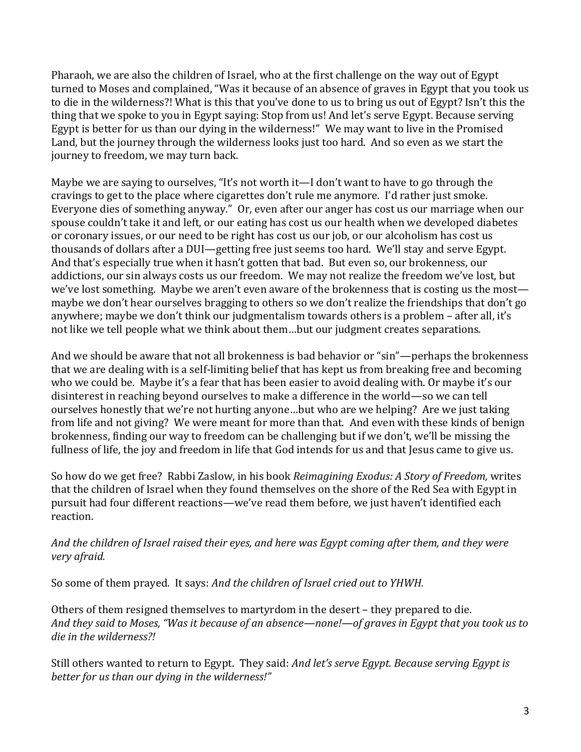Pharaoh, we are also the children of Israel, who at the first challenge on the way out of Egypt turned to Moses and complained, "Was it because of an absence of graves in Egypt that you took us to die in the wilderness?! What is this that you've done to us to bring us out of Egypt? Isn't this the thing that we spoke to you in Egypt saying: Stop from us! And let's serve Egypt. Because serving Egypt is better for us than our dying in the wilderness!" We may want to live in the Promised Land, but the journey through the wilderness looks just too hard. And so even as we start the journey to freedom, we may turn back.

Maybe we are saying to ourselves, "It's not worth it—I don't want to have to go through the cravings to get to the place where cigarettes don't rule me anymore. I'd rather just smoke. Everyone dies of something anyway." Or, even after our anger has cost us our marriage when our spouse couldn't take it and left, or our eating has cost us our health when we developed diabetes or coronary issues, or our need to be right has cost us our job, or our alcoholism has cost us thousands of dollars after a DUI—getting free just seems too hard. We'll stay and serve Egypt. And that's especially true when it hasn't gotten that bad. But even so, our brokenness, our addictions, our sin always costs us our freedom. We may not realize the freedom we've lost, but we've lost something. Maybe we aren't even aware of the brokenness that is costing us the most maybe we don't hear ourselves bragging to others so we don't realize the friendships that don't go anywhere; maybe we don't think our judgmentalism towards others is a problem – after all, it's not like we tell people what we think about them…but our judgment creates separations.

And we should be aware that not all brokenness is bad behavior or "sin"—perhaps the brokenness that we are dealing with is a self-limiting belief that has kept us from breaking free and becoming who we could be. Maybe it's a fear that has been easier to avoid dealing with. Or maybe it's our disinterest in reaching beyond ourselves to make a difference in the world—so we can tell ourselves honestly that we're not hurting anyone…but who are we helping? Are we just taking from life and not giving? We were meant for more than that. And even with these kinds of benign brokenness, finding our way to freedom can be challenging but if we don't, we'll be missing the fullness of life, the joy and freedom in life that God intends for us and that Jesus came to give us.

So how do we get free? Rabbi Zaslow, in his book *Reimagining Exodus: A Story of Freedom,* writes that the children of Israel when they found themselves on the shore of the Red Sea with Egypt in pursuit had four different reactions—we've read them before, we just haven't identified each reaction.

## *And the children of Israel raised their eyes, and here was Egypt coming after them, and they were very afraid.*

So some of them prayed. It says: *And the children of Israel cried out to YHWH.*

Others of them resigned themselves to martyrdom in the desert – they prepared to die. *And they said to Moses, "Was it because of an absence—none!—of graves in Egypt that you took us to die in the wilderness?!* 

Still others wanted to return to Egypt. They said: *And let's serve Egypt. Because serving Egypt is better for us than our dying in the wilderness!"*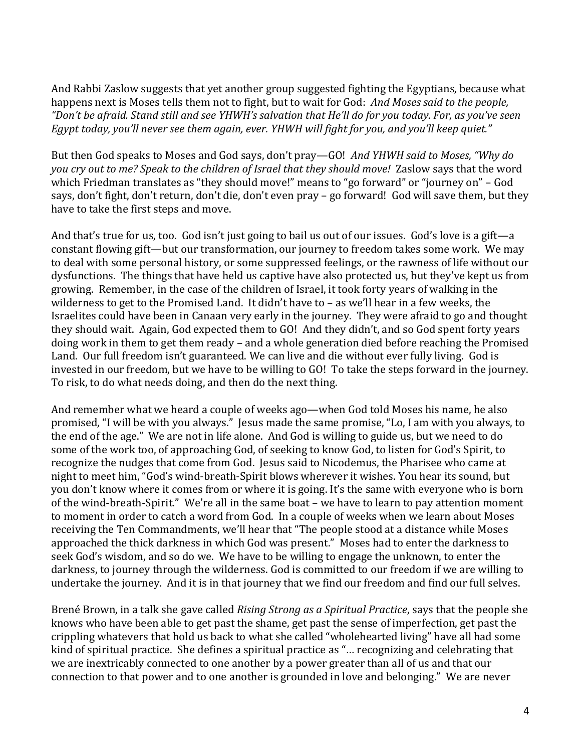And Rabbi Zaslow suggests that yet another group suggested fighting the Egyptians, because what happens next is Moses tells them not to fight, but to wait for God: *And Moses said to the people, "Don't be afraid. Stand still and see YHWH's salvation that He'll do for you today. For, as you've seen Egypt today, you'll never see them again, ever. YHWH will fight for you, and you'll keep quiet."*

But then God speaks to Moses and God says, don't pray—GO! *And YHWH said to Moses, "Why do you cry out to me? Speak to the children of Israel that they should move!* Zaslow says that the word which Friedman translates as "they should move!" means to "go forward" or "journey on" – God says, don't fight, don't return, don't die, don't even pray – go forward! God will save them, but they have to take the first steps and move.

And that's true for us, too. God isn't just going to bail us out of our issues. God's love is a gift—a constant flowing gift—but our transformation, our journey to freedom takes some work. We may to deal with some personal history, or some suppressed feelings, or the rawness of life without our dysfunctions. The things that have held us captive have also protected us, but they've kept us from growing. Remember, in the case of the children of Israel, it took forty years of walking in the wilderness to get to the Promised Land. It didn't have to – as we'll hear in a few weeks, the Israelites could have been in Canaan very early in the journey. They were afraid to go and thought they should wait. Again, God expected them to GO! And they didn't, and so God spent forty years doing work in them to get them ready – and a whole generation died before reaching the Promised Land. Our full freedom isn't guaranteed. We can live and die without ever fully living. God is invested in our freedom, but we have to be willing to GO! To take the steps forward in the journey. To risk, to do what needs doing, and then do the next thing.

And remember what we heard a couple of weeks ago—when God told Moses his name, he also promised, "I will be with you always." Jesus made the same promise, "Lo, I am with you always, to the end of the age." We are not in life alone. And God is willing to guide us, but we need to do some of the work too, of approaching God, of seeking to know God, to listen for God's Spirit, to recognize the nudges that come from God. Jesus said to Nicodemus, the Pharisee who came at night to meet him, "God's wind-breath-Spirit blows wherever it wishes. You hear its sound, but you don't know where it comes from or where it is going. It's the same with everyone who is born of the wind-breath-Spirit." We're all in the same boat – we have to learn to pay attention moment to moment in order to catch a word from God. In a couple of weeks when we learn about Moses receiving the Ten Commandments, we'll hear that "The people stood at a distance while Moses approached the thick darkness in which God was present." Moses had to enter the darkness to seek God's wisdom, and so do we. We have to be willing to engage the unknown, to enter the darkness, to journey through the wilderness. God is committed to our freedom if we are willing to undertake the journey. And it is in that journey that we find our freedom and find our full selves.

Brené Brown, in a talk she gave called *Rising Strong as a Spiritual Practice*, says that the people she knows who have been able to get past the shame, get past the sense of imperfection, get past the crippling whatevers that hold us back to what she called "wholehearted living" have all had some kind of spiritual practice. She defines a spiritual practice as "… recognizing and celebrating that we are inextricably connected to one another by a power greater than all of us and that our connection to that power and to one another is grounded in love and belonging." We are never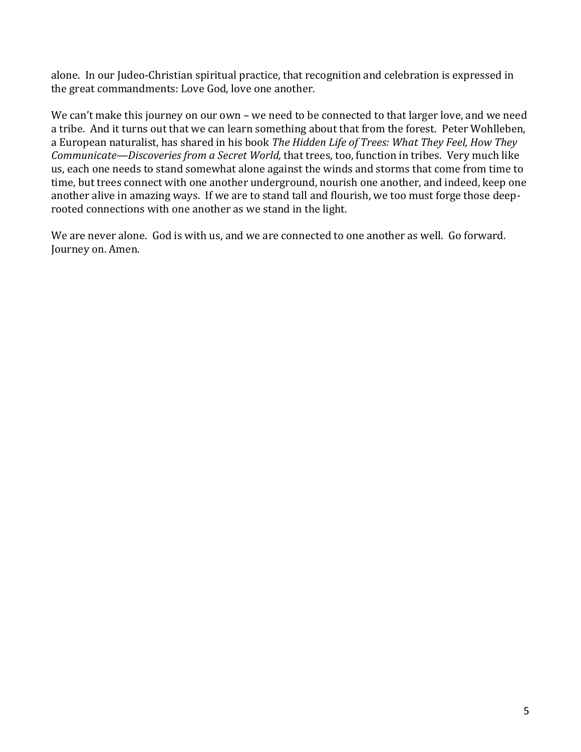alone. In our Judeo-Christian spiritual practice, that recognition and celebration is expressed in the great commandments: Love God, love one another.

We can't make this journey on our own – we need to be connected to that larger love, and we need a tribe. And it turns out that we can learn something about that from the forest. Peter Wohlleben, a European naturalist, has shared in his book *The Hidden Life of Trees: What They Feel, How They Communicate—Discoveries from a Secret World,* that trees, too, function in tribes. Very much like us, each one needs to stand somewhat alone against the winds and storms that come from time to time, but trees connect with one another underground, nourish one another, and indeed, keep one another alive in amazing ways. If we are to stand tall and flourish, we too must forge those deeprooted connections with one another as we stand in the light.

We are never alone. God is with us, and we are connected to one another as well. Go forward. Journey on. Amen.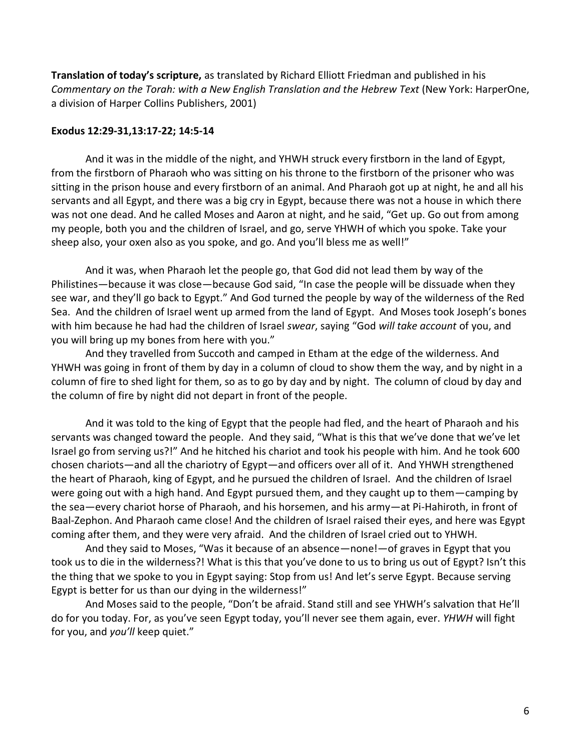**Translation of today's scripture,** as translated by Richard Elliott Friedman and published in his *Commentary on the Torah: with a New English Translation and the Hebrew Text* (New York: HarperOne, a division of Harper Collins Publishers, 2001)

## **Exodus 12:29-31,13:17-22; 14:5-14**

And it was in the middle of the night, and YHWH struck every firstborn in the land of Egypt, from the firstborn of Pharaoh who was sitting on his throne to the firstborn of the prisoner who was sitting in the prison house and every firstborn of an animal. And Pharaoh got up at night, he and all his servants and all Egypt, and there was a big cry in Egypt, because there was not a house in which there was not one dead. And he called Moses and Aaron at night, and he said, "Get up. Go out from among my people, both you and the children of Israel, and go, serve YHWH of which you spoke. Take your sheep also, your oxen also as you spoke, and go. And you'll bless me as well!"

And it was, when Pharaoh let the people go, that God did not lead them by way of the Philistines—because it was close—because God said, "In case the people will be dissuade when they see war, and they'll go back to Egypt." And God turned the people by way of the wilderness of the Red Sea. And the children of Israel went up armed from the land of Egypt. And Moses took Joseph's bones with him because he had had the children of Israel *swear*, saying "God *will take account* of you, and you will bring up my bones from here with you."

And they travelled from Succoth and camped in Etham at the edge of the wilderness. And YHWH was going in front of them by day in a column of cloud to show them the way, and by night in a column of fire to shed light for them, so as to go by day and by night. The column of cloud by day and the column of fire by night did not depart in front of the people.

And it was told to the king of Egypt that the people had fled, and the heart of Pharaoh and his servants was changed toward the people. And they said, "What is this that we've done that we've let Israel go from serving us?!" And he hitched his chariot and took his people with him. And he took 600 chosen chariots—and all the chariotry of Egypt—and officers over all of it. And YHWH strengthened the heart of Pharaoh, king of Egypt, and he pursued the children of Israel. And the children of Israel were going out with a high hand. And Egypt pursued them, and they caught up to them—camping by the sea—every chariot horse of Pharaoh, and his horsemen, and his army—at Pi-Hahiroth, in front of Baal-Zephon. And Pharaoh came close! And the children of Israel raised their eyes, and here was Egypt coming after them, and they were very afraid. And the children of Israel cried out to YHWH.

And they said to Moses, "Was it because of an absence—none!—of graves in Egypt that you took us to die in the wilderness?! What is this that you've done to us to bring us out of Egypt? Isn't this the thing that we spoke to you in Egypt saying: Stop from us! And let's serve Egypt. Because serving Egypt is better for us than our dying in the wilderness!"

And Moses said to the people, "Don't be afraid. Stand still and see YHWH's salvation that He'll do for you today. For, as you've seen Egypt today, you'll never see them again, ever. *YHWH* will fight for you, and *you'll* keep quiet."